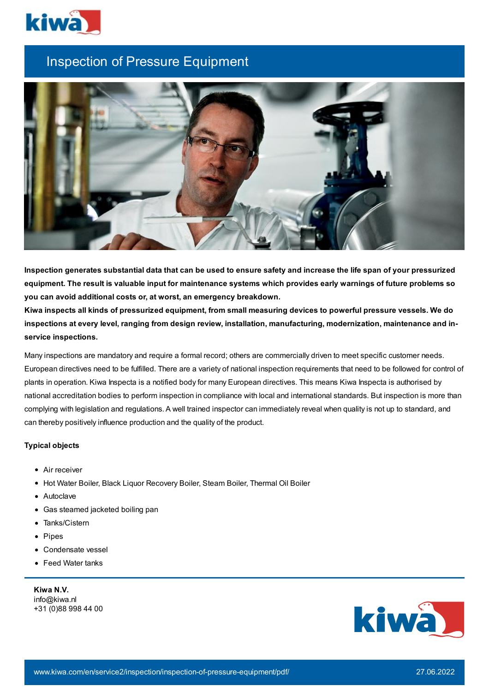

## Inspection of Pressure Equipment



Inspection generates substantial data that can be used to ensure safety and increase the life span of your pressurized equipment. The result is valuable input for maintenance systems which provides early warnings of future problems so **you can avoid additional costs or, at worst, an emergency breakdown.**

Kiwa inspects all kinds of pressurized equipment, from small measuring devices to powerful pressure vessels. We do **inspections at every level, ranging from design review, installation, manufacturing, modernization, maintenance and inservice inspections.**

Many inspections are mandatory and require a formal record; others are commercially driven to meet specific customer needs. European directives need to be fulfilled. There are a variety of national inspection requirements that need to be followed for control of plants in operation. Kiwa Inspecta is a notified body for many European directives. This means Kiwa Inspecta is authorised by national accreditation bodies to perform inspection in compliance with local and international standards. But inspection is more than complying with legislation and regulations. A well trained inspector can immediately reveal when quality is not up to standard, and can thereby positively influence production and the quality of the product.

## **Typical objects**

- Air receiver
- Hot Water Boiler, Black Liquor Recovery Boiler, Steam Boiler, Thermal Oil Boiler
- Autoclave
- Gas steamed jacketed boiling pan
- Tanks/Cistern
- Pipes
- Condensate vessel
- Feed Water tanks

**Kiwa N.V.** info@kiwa.nl +31 (0)88 998 44 00